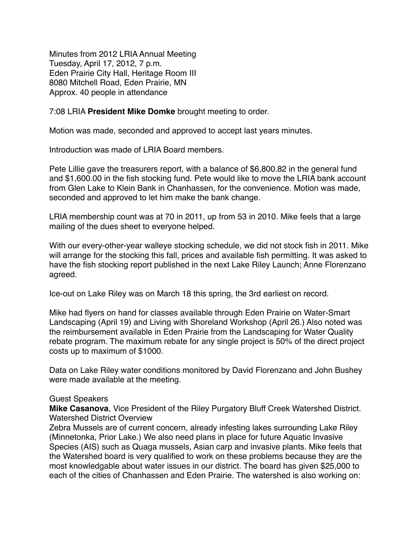Minutes from 2012 LRIA Annual Meeting Tuesday, April 17, 2012, 7 p.m. Eden Prairie City Hall, Heritage Room III 8080 Mitchell Road, Eden Prairie, MN Approx. 40 people in attendance

7:08 LRIA **President Mike Domke** brought meeting to order.

Motion was made, seconded and approved to accept last years minutes.

Introduction was made of LRIA Board members.

Pete Lillie gave the treasurers report, with a balance of \$6,800.82 in the general fund and \$1,600.00 in the fish stocking fund. Pete would like to move the LRIA bank account from Glen Lake to Klein Bank in Chanhassen, for the convenience. Motion was made, seconded and approved to let him make the bank change.

LRIA membership count was at 70 in 2011, up from 53 in 2010. Mike feels that a large mailing of the dues sheet to everyone helped.

With our every-other-year walleye stocking schedule, we did not stock fish in 2011. Mike will arrange for the stocking this fall, prices and available fish permitting. It was asked to have the fish stocking report published in the next Lake Riley Launch; Anne Florenzano agreed.

Ice-out on Lake Riley was on March 18 this spring, the 3rd earliest on record.

Mike had flyers on hand for classes available through Eden Prairie on Water-Smart Landscaping (April 19) and Living with Shoreland Workshop (April 26.) Also noted was the reimbursement available in Eden Prairie from the Landscaping for Water Quality rebate program. The maximum rebate for any single project is 50% of the direct project costs up to maximum of \$1000.

Data on Lake Riley water conditions monitored by David Florenzano and John Bushey were made available at the meeting.

## Guest Speakers

**Mike Casanova**, Vice President of the Riley Purgatory Bluff Creek Watershed District. Watershed District Overview

Zebra Mussels are of current concern, already infesting lakes surrounding Lake Riley (Minnetonka, Prior Lake.) We also need plans in place for future Aquatic Invasive Species (AIS) such as Quaga mussels, Asian carp and invasive plants. Mike feels that the Watershed board is very qualified to work on these problems because they are the most knowledgable about water issues in our district. The board has given \$25,000 to each of the cities of Chanhassen and Eden Prairie. The watershed is also working on: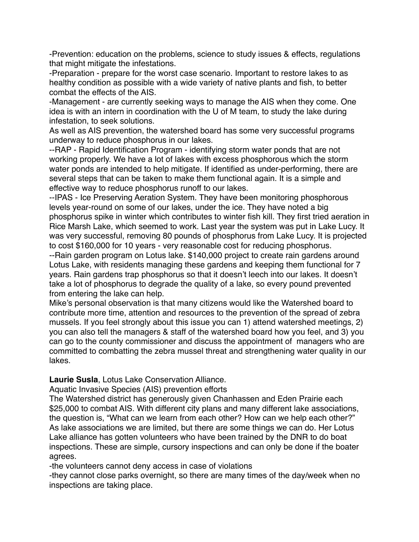-Prevention: education on the problems, science to study issues & effects, regulations that might mitigate the infestations.

-Preparation - prepare for the worst case scenario. Important to restore lakes to as healthy condition as possible with a wide variety of native plants and fish, to better combat the effects of the AIS.

-Management - are currently seeking ways to manage the AIS when they come. One idea is with an intern in coordination with the U of M team, to study the lake during infestation, to seek solutions.

As well as AIS prevention, the watershed board has some very successful programs underway to reduce phosphorus in our lakes.

--RAP - Rapid Identification Program - identifying storm water ponds that are not working properly. We have a lot of lakes with excess phosphorous which the storm water ponds are intended to help mitigate. If identified as under-performing, there are several steps that can be taken to make them functional again. It is a simple and effective way to reduce phosphorus runoff to our lakes.

--IPAS - Ice Preserving Aeration System. They have been monitoring phosphorous levels year-round on some of our lakes, under the ice. They have noted a big phosphorus spike in winter which contributes to winter fish kill. They first tried aeration in Rice Marsh Lake, which seemed to work. Last year the system was put in Lake Lucy. It was very successful, removing 80 pounds of phosphorus from Lake Lucy. It is projected to cost \$160,000 for 10 years - very reasonable cost for reducing phosphorus.

--Rain garden program on Lotus lake. \$140,000 project to create rain gardens around Lotus Lake, with residents managing these gardens and keeping them functional for 7 years. Rain gardens trap phosphorus so that it doesn't leech into our lakes. It doesn't take a lot of phosphorus to degrade the quality of a lake, so every pound prevented from entering the lake can help.

Mike's personal observation is that many citizens would like the Watershed board to contribute more time, attention and resources to the prevention of the spread of zebra mussels. If you feel strongly about this issue you can 1) attend watershed meetings, 2) you can also tell the managers & staff of the watershed board how you feel, and 3) you can go to the county commissioner and discuss the appointment of managers who are committed to combatting the zebra mussel threat and strengthening water quality in our lakes.

**Laurie Susla**, Lotus Lake Conservation Alliance.

Aquatic Invasive Species (AIS) prevention efforts

The Watershed district has generously given Chanhassen and Eden Prairie each \$25,000 to combat AIS. With different city plans and many different lake associations, the question is, "What can we learn from each other? How can we help each other?" As lake associations we are limited, but there are some things we can do. Her Lotus Lake alliance has gotten volunteers who have been trained by the DNR to do boat inspections. These are simple, cursory inspections and can only be done if the boater agrees.

-the volunteers cannot deny access in case of violations

-they cannot close parks overnight, so there are many times of the day/week when no inspections are taking place.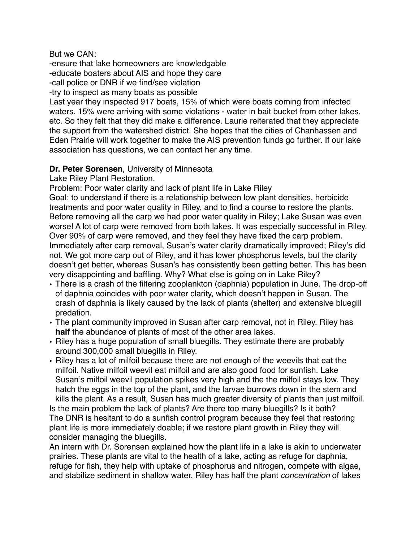But we CAN:

-ensure that lake homeowners are knowledgable

-educate boaters about AIS and hope they care

-call police or DNR if we find/see violation

-try to inspect as many boats as possible

Last year they inspected 917 boats, 15% of which were boats coming from infected waters. 15% were arriving with some violations - water in bait bucket from other lakes, etc. So they felt that they did make a difference. Laurie reiterated that they appreciate the support from the watershed district. She hopes that the cities of Chanhassen and Eden Prairie will work together to make the AIS prevention funds go further. If our lake association has questions, we can contact her any time.

## **Dr. Peter Sorensen**, University of Minnesota

Lake Riley Plant Restoration.

Problem: Poor water clarity and lack of plant life in Lake Riley

Goal: to understand if there is a relationship between low plant densities, herbicide treatments and poor water quality in Riley, and to find a course to restore the plants. Before removing all the carp we had poor water quality in Riley; Lake Susan was even worse! A lot of carp were removed from both lakes. It was especially successful in Riley. Over 90% of carp were removed, and they feel they have fixed the carp problem. Immediately after carp removal, Susan's water clarity dramatically improved; Riley's did not. We got more carp out of Riley, and it has lower phosphorus levels, but the clarity doesn't get better, whereas Susan's has consistently been getting better. This has been very disappointing and baffling. Why? What else is going on in Lake Riley?

- There is a crash of the filtering zooplankton (daphnia) population in June. The drop-off of daphnia coincides with poor water clarity, which doesn't happen in Susan. The crash of daphnia is likely caused by the lack of plants (shelter) and extensive bluegill predation.
- The plant community improved in Susan after carp removal, not in Riley. Riley has **half** the abundance of plants of most of the other area lakes.
- Riley has a huge population of small bluegills. They estimate there are probably around 300,000 small bluegills in Riley.
- Riley has a lot of milfoil because there are not enough of the weevils that eat the milfoil. Native milfoil weevil eat milfoil and are also good food for sunfish. Lake Susan's milfoil weevil population spikes very high and the the milfoil stays low. They hatch the eggs in the top of the plant, and the larvae burrows down in the stem and kills the plant. As a result, Susan has much greater diversity of plants than just milfoil. Is the main problem the lack of plants? Are there too many bluegills? Is it both?

The DNR is hesitant to do a sunfish control program because they feel that restoring plant life is more immediately doable; if we restore plant growth in Riley they will consider managing the bluegills.

An intern with Dr. Sorensen explained how the plant life in a lake is akin to underwater prairies. These plants are vital to the health of a lake, acting as refuge for daphnia, refuge for fish, they help with uptake of phosphorus and nitrogen, compete with algae, and stabilize sediment in shallow water. Riley has half the plant *concentration* of lakes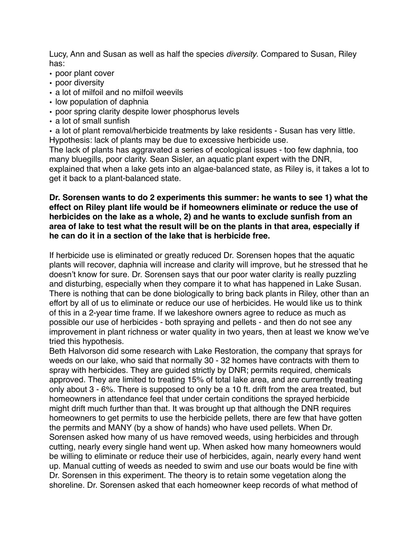Lucy, Ann and Susan as well as half the species *diversity*. Compared to Susan, Riley has:

- poor plant cover
- poor diversity
- a lot of milfoil and no milfoil weevils
- low population of daphnia
- poor spring clarity despite lower phosphorus levels
- a lot of small sunfish

• a lot of plant removal/herbicide treatments by lake residents - Susan has very little. Hypothesis: lack of plants may be due to excessive herbicide use.

The lack of plants has aggravated a series of ecological issues - too few daphnia, too many bluegills, poor clarity. Sean Sisler, an aquatic plant expert with the DNR, explained that when a lake gets into an algae-balanced state, as Riley is, it takes a lot to get it back to a plant-balanced state.

## **Dr. Sorensen wants to do 2 experiments this summer: he wants to see 1) what the effect on Riley plant life would be if homeowners eliminate or reduce the use of herbicides on the lake as a whole, 2) and he wants to exclude sunfish from an area of lake to test what the result will be on the plants in that area, especially if he can do it in a section of the lake that is herbicide free.**

If herbicide use is eliminated or greatly reduced Dr. Sorensen hopes that the aquatic plants will recover, daphnia will increase and clarity will improve, but he stressed that he doesn't know for sure. Dr. Sorensen says that our poor water clarity is really puzzling and disturbing, especially when they compare it to what has happened in Lake Susan. There is nothing that can be done biologically to bring back plants in Riley, other than an effort by all of us to eliminate or reduce our use of herbicides. He would like us to think of this in a 2-year time frame. If we lakeshore owners agree to reduce as much as possible our use of herbicides - both spraying and pellets - and then do not see any improvement in plant richness or water quality in two years, then at least we know we've tried this hypothesis.

Beth Halvorson did some research with Lake Restoration, the company that sprays for weeds on our lake, who said that normally 30 - 32 homes have contracts with them to spray with herbicides. They are guided strictly by DNR; permits required, chemicals approved. They are limited to treating 15% of total lake area, and are currently treating only about 3 - 6%. There is supposed to only be a 10 ft. drift from the area treated, but homeowners in attendance feel that under certain conditions the sprayed herbicide might drift much further than that. It was brought up that although the DNR requires homeowners to get permits to use the herbicide pellets, there are few that have gotten the permits and MANY (by a show of hands) who have used pellets. When Dr. Sorensen asked how many of us have removed weeds, using herbicides and through cutting, nearly every single hand went up. When asked how many homeowners would be willing to eliminate or reduce their use of herbicides, again, nearly every hand went up. Manual cutting of weeds as needed to swim and use our boats would be fine with Dr. Sorensen in this experiment. The theory is to retain some vegetation along the shoreline. Dr. Sorensen asked that each homeowner keep records of what method of